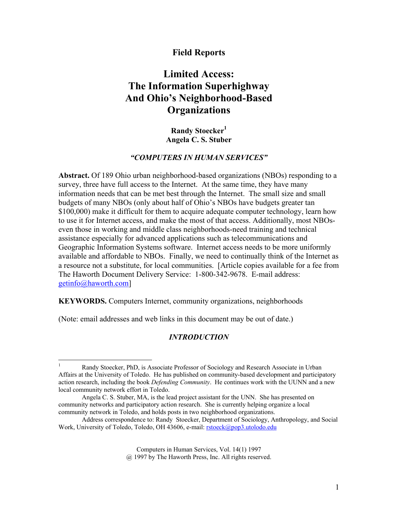# **Field Reports**

# **Limited Access: The Information Superhighway And Ohio's Neighborhood-Based Organizations**

**Randy Stoecker1 Angela C. S. Stuber** 

# *"COMPUTERS IN HUMAN SERVICES"*

**Abstract.** Of 189 Ohio urban neighborhood-based organizations (NBOs) responding to a survey, three have full access to the Internet. At the same time, they have many information needs that can be met best through the Internet. The small size and small budgets of many NBOs (only about half of Ohio's NBOs have budgets greater tan \$100,000) make it difficult for them to acquire adequate computer technology, learn how to use it for Internet access, and make the most of that access. Additionally, most NBOseven those in working and middle class neighborhoods-need training and technical assistance especially for advanced applications such as telecommunications and Geographic Information Systems software. Internet access needs to be more uniformly available and affordable to NBOs. Finally, we need to continually think of the Internet as a resource not a substitute, for local communities. [Article copies available for a fee from The Haworth Document Delivery Service: 1-800-342-9678. E-mail address: getinfo@haworth.com]

**KEYWORDS.** Computers Internet, community organizations, neighborhoods

(Note: email addresses and web links in this document may be out of date.)

# *INTRODUCTION*

Computers in Human Services, Vol. 14(1) 1997

@ 1997 by The Haworth Press, Inc. All rights reserved.

 $\frac{1}{1}$  Randy Stoecker, PhD, is Associate Professor of Sociology and Research Associate in Urban Affairs at the University of Toledo. He has published on community-based development and participatory action research, including the book *Defending Community*. He continues work with the UUNN and a new local community network effort in Toledo.

Angela C. S. Stuber, MA, is the lead project assistant for the UNN. She has presented on community networks and participatory action research. She is currently helping organize a local community network in Toledo, and holds posts in two neighborhood organizations.

Address correspondence to: Randy Stoecker, Department of Sociology, Anthropology, and Social Work, University of Toledo, Toledo, OH 43606, e-mail: rstoeck@pop3.utolodo.edu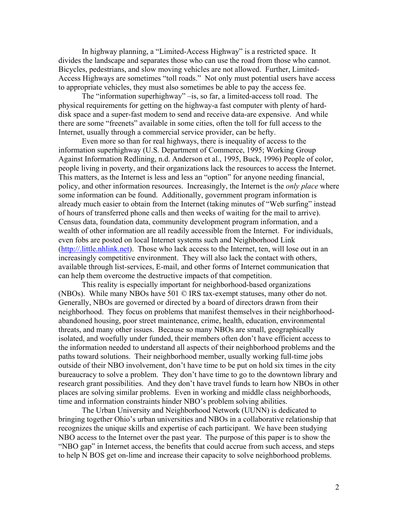In highway planning, a "Limited-Access Highway" is a restricted space. It divides the landscape and separates those who can use the road from those who cannot. Bicycles, pedestrians, and slow moving vehicles are not allowed. Further, Limited-Access Highways are sometimes "toll roads." Not only must potential users have access to appropriate vehicles, they must also sometimes be able to pay the access fee.

 The "information superhighway" –is, so far, a limited-access toll road. The physical requirements for getting on the highway-a fast computer with plenty of harddisk space and a super-fast modem to send and receive data-are expensive. And while there are some "freenets" available in some cities, often the toll for full access to the Internet, usually through a commercial service provider, can be hefty.

 Even more so than for real highways, there is inequality of access to the information superhighway (U.S. Department of Commerce, 1995; Working Group Against Information Redlining, n.d. Anderson et al., 1995, Buck, 1996) People of color, people living in poverty, and their organizations lack the resources to access the Internet. This matters, as the Internet is less and less an "option" for anyone needing financial, policy, and other information resources. Increasingly, the Internet is the *only place* where some information can be found. Additionally, government program information is already much easier to obtain from the Internet (taking minutes of "Web surfing" instead of hours of transferred phone calls and then weeks of waiting for the mail to arrive). Census data, foundation data, community development program information, and a wealth of other information are all readily accessible from the Internet. For individuals, even fobs are posted on local Internet systems such and Neighborhood Link (http://.little.nhlink.net). Those who lack access to the Internet, ten, will lose out in an increasingly competitive environment. They will also lack the contact with others, available through list-services, E-mail, and other forms of Internet communication that can help them overcome the destructive impacts of that competition.

 This reality is especially important for neighborhood-based organizations (NBOs). While many NBOs have 501 © IRS tax-exempt statuses, many other do not. Generally, NBOs are governed or directed by a board of directors drawn from their neighborhood. They focus on problems that manifest themselves in their neighborhoodabandoned housing, poor street maintenance, crime, health, education, environmental threats, and many other issues. Because so many NBOs are small, geographically isolated, and woefully under funded, their members often don't have efficient access to the information needed to understand all aspects of their neighborhood problems and the paths toward solutions. Their neighborhood member, usually working full-time jobs outside of their NBO involvement, don't have time to be put on hold six times in the city bureaucracy to solve a problem. They don't have time to go to the downtown library and research grant possibilities. And they don't have travel funds to learn how NBOs in other places are solving similar problems. Even in working and middle class neighborhoods, time and information constraints hinder NBO's problem solving abilities.

 The Urban University and Neighborhood Network (UUNN) is dedicated to bringing together Ohio's urban universities and NBOs in a collaborative relationship that recognizes the unique skills and expertise of each participant. We have been studying NBO access to the Internet over the past year. The purpose of this paper is to show the "NBO gap" in Internet access, the benefits that could accrue from such access, and steps to help N BOS get on-lime and increase their capacity to solve neighborhood problems.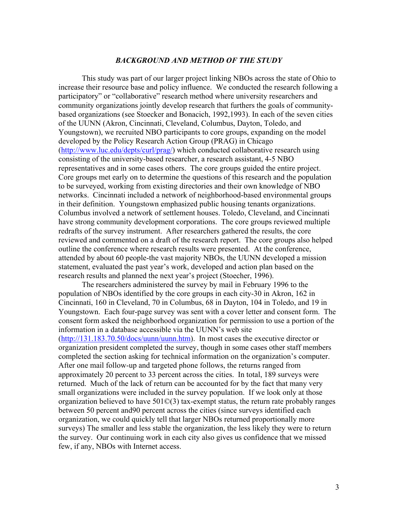#### *BACKGROUND AND METHOD OF THE STUDY*

 This study was part of our larger project linking NBOs across the state of Ohio to increase their resource base and policy influence. We conducted the research following a participatory" or "collaborative" research method where university researchers and community organizations jointly develop research that furthers the goals of communitybased organizations (see Stoecker and Bonacich, 1992,1993). In each of the seven cities of the UUNN (Akron, Cincinnati, Cleveland, Columbus, Dayton, Toledo, and Youngstown), we recruited NBO participants to core groups, expanding on the model developed by the Policy Research Action Group (PRAG) in Chicago (http://www.luc.edu/depts/curl/prag/) which conducted collaborative research using consisting of the university-based researcher, a research assistant, 4-5 NBO representatives and in some cases others. The core groups guided the entire project. Core groups met early on to determine the questions of this research and the population to be surveyed, working from existing directories and their own knowledge of NBO networks. Cincinnati included a network of neighborhood-based environmental groups in their definition. Youngstown emphasized public housing tenants organizations. Columbus involved a network of settlement houses. Toledo, Cleveland, and Cincinnati have strong community development corporations. The core groups reviewed multiple redrafts of the survey instrument. After researchers gathered the results, the core reviewed and commented on a draft of the research report. The core groups also helped outline the conference where research results were presented. At the conference, attended by about 60 people-the vast majority NBOs, the UUNN developed a mission statement, evaluated the past year's work, developed and action plan based on the research results and planned the next year's project (Stoecher, 1996).

 The researchers administered the survey by mail in February 1996 to the population of NBOs identified by the core groups in each city-30 in Akron, 162 in Cincinnati, 160 in Cleveland, 70 in Columbus, 68 in Dayton, 104 in Toledo, and 19 in Youngstown. Each four-page survey was sent with a cover letter and consent form. The consent form asked the neighborhood organization for permission to use a portion of the information in a database accessible via the UUNN's web site (http://131.183.70.50/docs/uunn/uunn.htm). In most cases the executive director or organization president completed the survey, though in some cases other staff members completed the section asking for technical information on the organization's computer. After one mail follow-up and targeted phone follows, the returns ranged from approximately 20 percent to 33 percent across the cities. In total, 189 surveys were returned. Much of the lack of return can be accounted for by the fact that many very small organizations were included in the survey population. If we look only at those organization believed to have 501©(3) tax-exempt status, the return rate probably ranges between 50 percent and90 percent across the cities (since surveys identified each organization, we could quickly tell that larger NBOs returned proportionally more surveys) The smaller and less stable the organization, the less likely they were to return the survey. Our continuing work in each city also gives us confidence that we missed few, if any, NBOs with Internet access.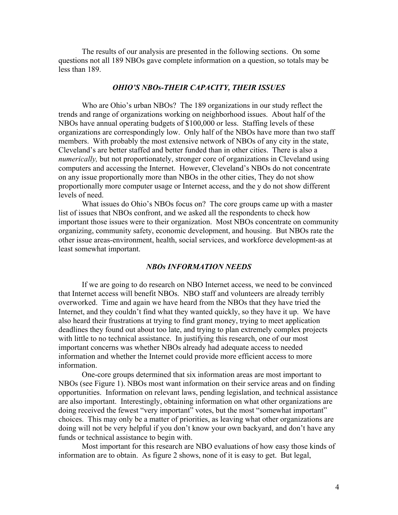The results of our analysis are presented in the following sections. On some questions not all 189 NBOs gave complete information on a question, so totals may be less than 189.

## *OHIO'S NBOs-THEIR CAPACITY, THEIR ISSUES*

 Who are Ohio's urban NBOs? The 189 organizations in our study reflect the trends and range of organizations working on neighborhood issues. About half of the NBOs have annual operating budgets of \$100,000 or less. Staffing levels of these organizations are correspondingly low. Only half of the NBOs have more than two staff members. With probably the most extensive network of NBOs of any city in the state, Cleveland's are better staffed and better funded than in other cities. There is also a *numerically,* but not proportionately, stronger core of organizations in Cleveland using computers and accessing the Internet. However, Cleveland's NBOs do not concentrate on any issue proportionally more than NBOs in the other cities, They do not show proportionally more computer usage or Internet access, and the y do not show different levels of need.

 What issues do Ohio's NBOs focus on? The core groups came up with a master list of issues that NBOs confront, and we asked all the respondents to check how important those issues were to their organization. Most NBOs concentrate on community organizing, community safety, economic development, and housing. But NBOs rate the other issue areas-environment, health, social services, and workforce development-as at least somewhat important.

#### *NBOs INFORMATION NEEDS*

 If we are going to do research on NBO Internet access, we need to be convinced that Internet access will benefit NBOs. NBO staff and volunteers are already terribly overworked. Time and again we have heard from the NBOs that they have tried the Internet, and they couldn't find what they wanted quickly, so they have it up. We have also heard their frustrations at trying to find grant money, trying to meet application deadlines they found out about too late, and trying to plan extremely complex projects with little to no technical assistance. In justifying this research, one of our most important concerns was whether NBOs already had adequate access to needed information and whether the Internet could provide more efficient access to more information.

 One-core groups determined that six information areas are most important to NBOs (see Figure 1). NBOs most want information on their service areas and on finding opportunities. Information on relevant laws, pending legislation, and technical assistance are also important. Interestingly, obtaining information on what other organizations are doing received the fewest "very important" votes, but the most "somewhat important" choices. This may only be a matter of priorities, as leaving what other organizations are doing will not be very helpful if you don't know your own backyard, and don't have any funds or technical assistance to begin with.

 Most important for this research are NBO evaluations of how easy those kinds of information are to obtain. As figure 2 shows, none of it is easy to get. But legal,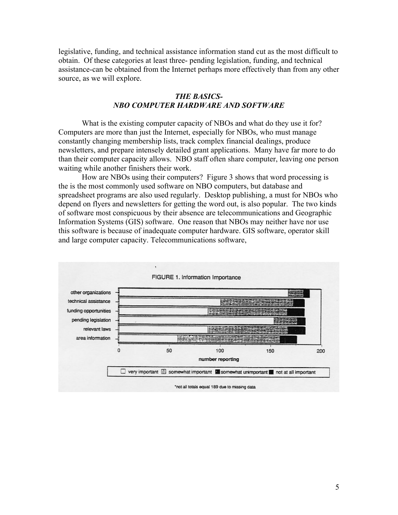legislative, funding, and technical assistance information stand cut as the most difficult to obtain. Of these categories at least three- pending legislation, funding, and technical assistance-can be obtained from the Internet perhaps more effectively than from any other source, as we will explore.

## *THE BASICS-NBO COMPUTER HARDWARE AND SOFTWARE*

What is the existing computer capacity of NBOs and what do they use it for? Computers are more than just the Internet, especially for NBOs, who must manage constantly changing membership lists, track complex financial dealings, produce newsletters, and prepare intensely detailed grant applications. Many have far more to do than their computer capacity allows. NBO staff often share computer, leaving one person waiting while another finishers their work.

 How are NBOs using their computers? Figure 3 shows that word processing is the is the most commonly used software on NBO computers, but database and spreadsheet programs are also used regularly. Desktop publishing, a must for NBOs who depend on flyers and newsletters for getting the word out, is also popular. The two kinds of software most conspicuous by their absence are telecommunications and Geographic Information Systems (GIS) software. One reason that NBOs may neither have nor use this software is because of inadequate computer hardware. GIS software, operator skill and large computer capacity. Telecommunications software,

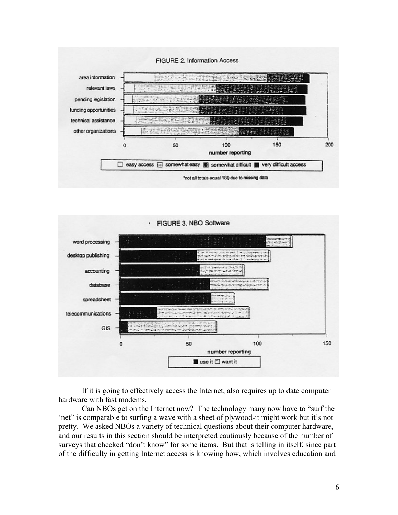



If it is going to effectively access the Internet, also requires up to date computer hardware with fast modems.

 Can NBOs get on the Internet now? The technology many now have to "surf the 'net" is comparable to surfing a wave with a sheet of plywood-it might work but it's not pretty. We asked NBOs a variety of technical questions about their computer hardware, and our results in this section should be interpreted cautiously because of the number of surveys that checked "don't know" for some items. But that is telling in itself, since part of the difficulty in getting Internet access is knowing how, which involves education and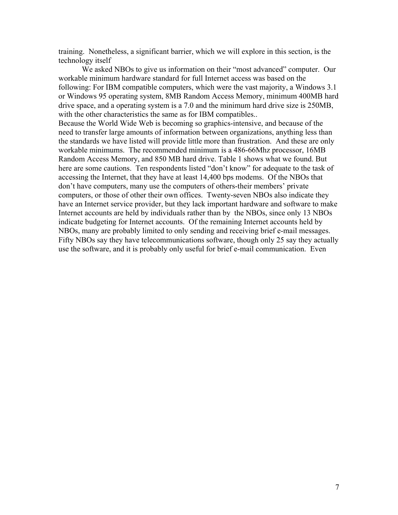training. Nonetheless, a significant barrier, which we will explore in this section, is the technology itself

We asked NBOs to give us information on their "most advanced" computer. Our workable minimum hardware standard for full Internet access was based on the following: For IBM compatible computers, which were the vast majority, a Windows 3.1 or Windows 95 operating system, 8MB Random Access Memory, minimum 400MB hard drive space, and a operating system is a 7.0 and the minimum hard drive size is 250MB, with the other characteristics the same as for IBM compatibles..

Because the World Wide Web is becoming so graphics-intensive, and because of the need to transfer large amounts of information between organizations, anything less than the standards we have listed will provide little more than frustration. And these are only workable minimums. The recommended minimum is a 486-66Mhz processor, 16MB Random Access Memory, and 850 MB hard drive. Table 1 shows what we found. But here are some cautions. Ten respondents listed "don't know" for adequate to the task of accessing the Internet, that they have at least 14,400 bps modems. Of the NBOs that don't have computers, many use the computers of others-their members' private computers, or those of other their own offices. Twenty-seven NBOs also indicate they have an Internet service provider, but they lack important hardware and software to make Internet accounts are held by individuals rather than by the NBOs, since only 13 NBOs indicate budgeting for Internet accounts. Of the remaining Internet accounts held by NBOs, many are probably limited to only sending and receiving brief e-mail messages. Fifty NBOs say they have telecommunications software, though only 25 say they actually use the software, and it is probably only useful for brief e-mail communication. Even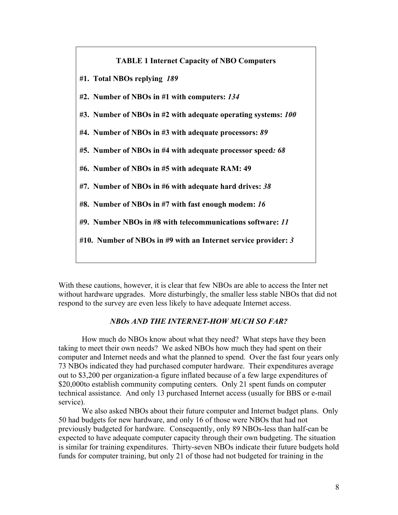

With these cautions, however, it is clear that few NBOs are able to access the Inter net without hardware upgrades. More disturbingly, the smaller less stable NBOs that did not respond to the survey are even less likely to have adequate Internet access.

# *NBOs AND THE INTERNET-HOW MUCH SO FAR?*

How much do NBOs know about what they need? What steps have they been taking to meet their own needs? We asked NBOs how much they had spent on their computer and Internet needs and what the planned to spend. Over the fast four years only 73 NBOs indicated they had purchased computer hardware. Their expenditures average out to \$3,200 per organization-a figure inflated because of a few large expenditures of \$20,000to establish community computing centers. Only 21 spent funds on computer technical assistance. And only 13 purchased Internet access (usually for BBS or e-mail service).

We also asked NBOs about their future computer and Internet budget plans. Only 50 had budgets for new hardware, and only 16 of those were NBOs that had not previously budgeted for hardware. Consequently, only 89 NBOs-less than half-can be expected to have adequate computer capacity through their own budgeting. The situation is similar for training expenditures. Thirty-seven NBOs indicate their future budgets hold funds for computer training, but only 21 of those had not budgeted for training in the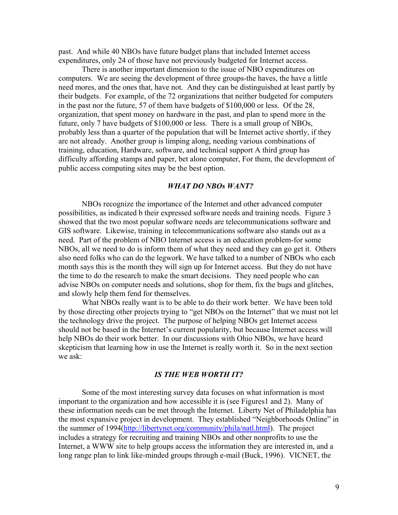past. And while 40 NBOs have future budget plans that included Internet access expenditures, only 24 of those have not previously budgeted for Internet access.

There is another important dimension to the issue of NBO expenditures on computers. We are seeing the development of three groups-the haves, the have a little need mores, and the ones that, have not. And they can be distinguished at least partly by their budgets. For example, of the 72 organizations that neither budgeted for computers in the past nor the future, 57 of them have budgets of \$100,000 or less. Of the 28, organization, that spent money on hardware in the past, and plan to spend more in the future, only 7 have budgets of \$100,000 or less. There is a small group of NBOs, probably less than a quarter of the population that will be Internet active shortly, if they are not already. Another group is limping along, needing various combinations of training, education, Hardware, software, and technical support A third group has difficulty affording stamps and paper, bet alone computer, For them, the development of public access computing sites may be the best option.

#### *WHAT DO NBOs WANT?*

NBOs recognize the importance of the Internet and other advanced computer possibilities, as indicated b their expressed software needs and training needs. Figure 3 showed that the two most popular software needs are telecommunications software and GIS software. Likewise, training in telecommunications software also stands out as a need. Part of the problem of NBO Internet access is an education problem-for some NBOs, all we need to do is inform them of what they need and they can go get it. Others also need folks who can do the legwork. We have talked to a number of NBOs who each month says this is the month they will sign up for Internet access. But they do not have the time to do the research to make the smart decisions. They need people who can advise NBOs on computer needs and solutions, shop for them, fix the bugs and glitches, and slowly help them fend for themselves.

What NBOs really want is to be able to do their work better. We have been told by those directing other projects trying to "get NBOs on the Internet" that we must not let the technology drive the project. The purpose of helping NBOs get Internet access should not be based in the Internet's current popularity, but because Internet access will help NBOs do their work better. In our discussions with Ohio NBOs, we have heard skepticism that learning how in use the Internet is really worth it. So in the next section we ask:

#### *IS THE WEB WORTH IT?*

 Some of the most interesting survey data focuses on what information is most important to the organization and how accessible it is (see Figures1 and 2). Many of these information needs can be met through the Internet. Liberty Net of Philadelphia has the most expansive project in development. They established "Neighborhoods Online" in the summer of 1994(http://libertynet.org/community/phila/natl.html). The project includes a strategy for recruiting and training NBOs and other nonprofits to use the Internet, a WWW site to help groups access the information they are interested in, and a long range plan to link like-minded groups through e-mail (Buck, 1996). VICNET, the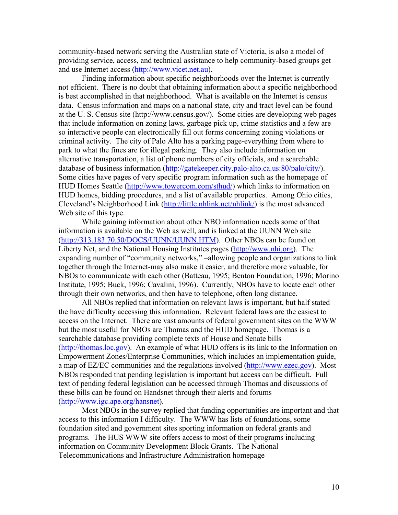community-based network serving the Australian state of Victoria, is also a model of providing service, access, and technical assistance to help community-based groups get and use Internet access (http://www.vicet.net.au).

 Finding information about specific neighborhoods over the Internet is currently not efficient. There is no doubt that obtaining information about a specific neighborhood is best accomplished in that neighborhood. What is available on the Internet is census data. Census information and maps on a national state, city and tract level can be found at the U. S. Census site (http://www.census.gov/). Some cities are developing web pages that include information on zoning laws, garbage pick up, crime statistics and a few are so interactive people can electronically fill out forms concerning zoning violations or criminal activity. The city of Palo Alto has a parking page-everything from where to park to what the fines are for illegal parking. They also include information on alternative transportation, a list of phone numbers of city officials, and a searchable database of business information (http://gatekeeper.city.palo-alto.ca.us:80/palo/city/). Some cities have pages of very specific program information such as the homepage of HUD Homes Seattle (http://www.towercom.com/sthud/) which links to information on HUD homes, bidding procedures, and a list of available properties. Among Ohio cities, Cleveland's Neighborhood Link (http://little.nhlink.net/nhlink/) is the most advanced Web site of this type.

 While gaining information about other NBO information needs some of that information is available on the Web as well, and is linked at the UUNN Web site (http://313.183.70.50/DOCS/UUNN/UUNN.HTM). Other NBOs can be found on Liberty Net, and the National Housing Institutes pages (http://www.nhi.org). The expanding number of "community networks," –allowing people and organizations to link together through the Internet-may also make it easier, and therefore more valuable, for NBOs to communicate with each other (Batteau, 1995; Benton Foundation, 1996; Morino Institute, 1995; Buck, 1996; Cavalini, 1996). Currently, NBOs have to locate each other through their own networks, and then have to telephone, often long distance.

 All NBOs replied that information on relevant laws is important, but half stated the have difficulty accessing this information. Relevant federal laws are the easiest to access on the Internet. There are vast amounts of federal government sites on the WWW but the most useful for NBOs are Thomas and the HUD homepage. Thomas is a searchable database providing complete texts of House and Senate bills (http://thomas.loc.gov). An example of what HUD offers is its link to the Information on Empowerment Zones/Enterprise Communities, which includes an implementation guide, a map of EZ/EC communities and the regulations involved (http://www.ezec.gov). Most NBOs responded that pending legislation is important but access can be difficult. Full text of pending federal legislation can be accessed through Thomas and discussions of these bills can be found on Handsnet through their alerts and forums (http://www.igc.ape.org/hansnet).

 Most NBOs in the survey replied that funding opportunities are important and that access to this information I difficulty. The WWW has lists of foundations, some foundation sited and government sites sporting information on federal grants and programs. The HUS WWW site offers access to most of their programs including information on Community Development Block Grants. The National Telecommunications and Infrastructure Administration homepage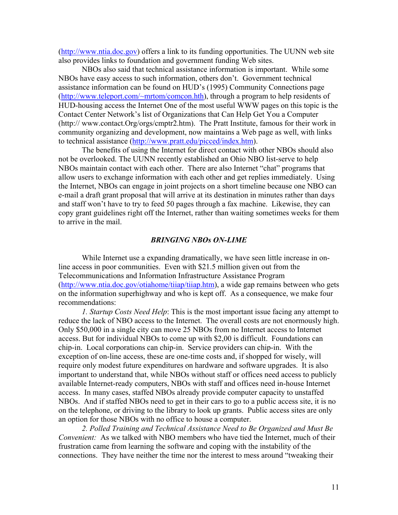(http://www.ntia.doc.gov) offers a link to its funding opportunities. The UUNN web site also provides links to foundation and government funding Web sites.

 NBOs also said that technical assistance information is important. While some NBOs have easy access to such information, others don't. Government technical assistance information can be found on HUD's (1995) Community Connections page (http://www.teleport.com/~mrtom/comcon.hth), through a program to help residents of HUD-housing access the Internet One of the most useful WWW pages on this topic is the Contact Center Network's list of Organizations that Can Help Get You a Computer (http:// www.contact.Org/orgs/cmptr2.htm). The Pratt Institute, famous for their work in community organizing and development, now maintains a Web page as well, with links to technical assistance (http://www.pratt.edu/picced/index.htm).

 The benefits of using the Internet for direct contact with other NBOs should also not be overlooked. The UUNN recently established an Ohio NBO list-serve to help NBOs maintain contact with each other. There are also Internet "chat" programs that allow users to exchange information with each other and get replies immediately. Using the Internet, NBOs can engage in joint projects on a short timeline because one NBO can e-mail a draft grant proposal that will arrive at its destination in minutes rather than days and staff won't have to try to feed 50 pages through a fax machine. Likewise, they can copy grant guidelines right off the Internet, rather than waiting sometimes weeks for them to arrive in the mail.

# *BRINGING NBOs ON-LIME*

 While Internet use a expanding dramatically, we have seen little increase in online access in poor communities. Even with \$21.5 million given out from the Telecommunications and Information Infrastructure Assistance Program (http://www.ntia.doc.gov/otiahome/tiiap/tiiap.htm), a wide gap remains between who gets on the information superhighway and who is kept off. As a consequence, we make four recommendations:

*1. Startup Costs Need Help*: This is the most important issue facing any attempt to reduce the lack of NBO access to the Internet. The overall costs are not enormously high. Only \$50,000 in a single city can move 25 NBOs from no Internet access to Internet access. But for individual NBOs to come up with \$2,00 is difficult. Foundations can chip-in. Local corporations can chip-in. Service providers can chip-in. With the exception of on-line access, these are one-time costs and, if shopped for wisely, will require only modest future expenditures on hardware and software upgrades. It is also important to understand that, while NBOs without staff or offices need access to publicly available Internet-ready computers, NBOs with staff and offices need in-house Internet access. In many cases, staffed NBOs already provide computer capacity to unstaffed NBOs. And if staffed NBOs need to get in their cars to go to a public access site, it is no on the telephone, or driving to the library to look up grants. Public access sites are only an option for those NBOs with no office to house a computer.

*2. Polled Training and Technical Assistance Need to Be Organized and Must Be Convenient:* As we talked with NBO members who have tied the Internet, much of their frustration came from learning the software and coping with the instability of the connections. They have neither the time nor the interest to mess around "tweaking their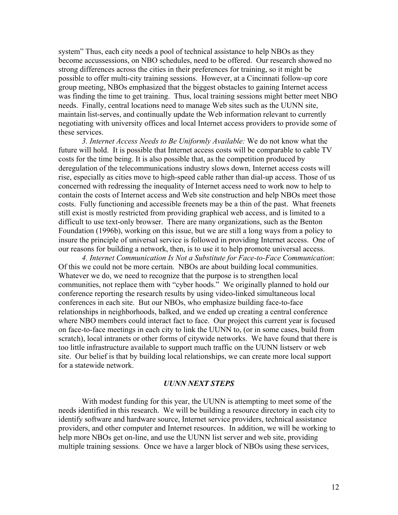system" Thus, each city needs a pool of technical assistance to help NBOs as they become accussessions, on NBO schedules, need to be offered. Our research showed no strong differences across the cities in their preferences for training, so it might be possible to offer multi-city training sessions. However, at a Cincinnati follow-up core group meeting, NBOs emphasized that the biggest obstacles to gaining Internet access was finding the time to get training. Thus, local training sessions might better meet NBO needs. Finally, central locations need to manage Web sites such as the UUNN site, maintain list-serves, and continually update the Web information relevant to currently negotiating with university offices and local Internet access providers to provide some of these services.

 *3. Internet Access Needs to Be Uniformly Available:* We do not know what the future will hold. It is possible that Internet access costs will be comparable to cable TV costs for the time being. It is also possible that, as the competition produced by deregulation of the telecommunications industry slows down, Internet access costs will rise, especially as cities move to high-speed cable rather than dial-up access. Those of us concerned with redressing the inequality of Internet access need to work now to help to contain the costs of Internet access and Web site construction and help NBOs meet those costs. Fully functioning and accessible freenets may be a thin of the past. What freenets still exist is mostly restricted from providing graphical web access, and is limited to a difficult to use text-only browser. There are many organizations, such as the Benton Foundation (1996b), working on this issue, but we are still a long ways from a policy to insure the principle of universal service is followed in providing Internet access. One of our reasons for building a network, then, is to use it to help promote universal access.

*4. Internet Communication Is Not a Substitute for Face-to-Face Communication*: Of this we could not be more certain. NBOs are about building local communities. Whatever we do, we need to recognize that the purpose is to strengthen local communities, not replace them with "cyber hoods." We originally planned to hold our conference reporting the research results by using video-linked simultaneous local conferences in each site. But our NBOs, who emphasize building face-to-face relationships in neighborhoods, balked, and we ended up creating a central conference where NBO members could interact fact to face. Our project this current year is focused on face-to-face meetings in each city to link the UUNN to, (or in some cases, build from scratch), local intranets or other forms of citywide networks. We have found that there is too little infrastructure available to support much traffic on the UUNN listserv or web site. Our belief is that by building local relationships, we can create more local support for a statewide network.

# *UUNN NEXT STEPS*

 With modest funding for this year, the UUNN is attempting to meet some of the needs identified in this research. We will be building a resource directory in each city to identify software and hardware source, Internet service providers, technical assistance providers, and other computer and Internet resources. In addition, we will be working to help more NBOs get on-line, and use the UUNN list server and web site, providing multiple training sessions. Once we have a larger block of NBOs using these services,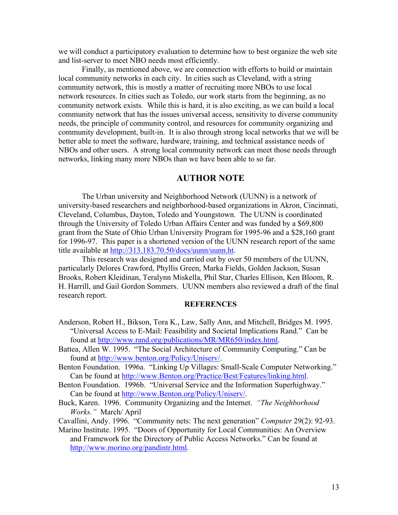we will conduct a participatory evaluation to determine how to best organize the web site and list-server to meet NBO needs most efficiently.

 Finally, as mentioned above, we are connection with efforts to build or maintain local community networks in each city. In cities such as Cleveland, with a string community network, this is mostly a matter of recruiting more NBOs to use local network resources. In cities such as Toledo, our work starts from the beginning, as no community network exists. While this is hard, it is also exciting, as we can build a local community network that has the issues universal access, sensitivity to diverse community needs, the principle of community control, and resources for community organizing and community development, built-in. It is also through strong local networks that we will be better able to meet the software, hardware, training, and technical assistance needs of NBOs and other users. A strong local community network can meet those needs through networks, linking many more NBOs than we have been able to so far.

# **AUTHOR NOTE**

The Urban university and Neighborhood Network (UUNN) is a network of university-based researchers and neighborhood-based organizations in Akron, Cincinnati, Cleveland, Columbus, Dayton, Toledo and Youngstown. The UUNN is coordinated through the University of Toledo Urban Affairs Center and was funded by a \$69,800 grant from the State of Ohio Urban University Program for 1995-96 and a \$28,160 grant for 1996-97. This paper is a shortened version of the UUNN research report of the same title available at http://313.183.70.50/docs/uunn/uunn.ht.

This research was designed and carried out by over 50 members of the UUNN, particularly Delores Crawford, Phyllis Green, Marka Fields, Golden Jackson, Susan Brooks, Robert Kleidinan, Teralynn Miskella, Phil Star, Charles Ellison, Ken Bloom, R. H. Harrill, and Gail Gordon Sommers. UUNN members also reviewed a draft of the final research report.

#### **REFERENCES**

- Anderson, Robert H., Bikson, Tora K., Law, Sally Ann, and Mitchell, Bridges M. 1995. "Universal Access to E-Mail: Feasibility and Societal Implications Rand." Can be found at http://www.rand.org/publications/MR/MR650/index.html.
- Battea, Allen W. 1995. "The Social Architecture of Community Computing." Can be found at http://www.benton.org/Policy/Uniserv/.
- Benton Foundation. 1996a. "Linking Up Villages: Small-Scale Computer Networking." Can be found at http://www.Benton.org/Practice/Best/Features/linking.html.
- Benton Foundation. 1996b. "Universal Service and the Information Superhighway." Can be found at http://www.Benton.org/Policy/Uniserv/.
- Buck, Karen. 1996. Community Organizing and the Internet. *"The Neighborhood Works."* March/ April
- Cavallini, Andy. 1996. "Community nets: The next generation" *Computer* 29(2): 92-93.
- Marino Institute. 1995. "Doors of Opportunity for Local Communities: An Overview and Framework for the Directory of Public Access Networks." Can be found at http://www.morino.org/pandintr.html.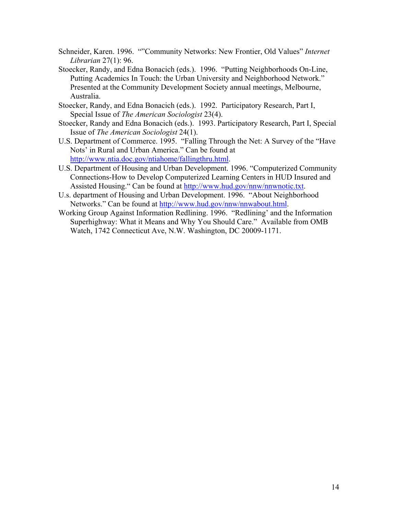- Schneider, Karen. 1996. ""Community Networks: New Frontier, Old Values" *Internet Librarian* 27(1): 96.
- Stoecker, Randy, and Edna Bonacich (eds.). 1996. "Putting Neighborhoods On-Line, Putting Academics In Touch: the Urban University and Neighborhood Network." Presented at the Community Development Society annual meetings, Melbourne, Australia.
- Stoecker, Randy, and Edna Bonacich (eds.). 1992. Participatory Research, Part I, Special Issue of *The American Sociologist* 23(4).
- Stoecker, Randy and Edna Bonacich (eds.). 1993. Participatory Research, Part I, Special Issue of *The American Sociologist* 24(1).
- U.S. Department of Commerce. 1995. "Falling Through the Net: A Survey of the "Have Nots' in Rural and Urban America." Can be found at http://www.ntia.doc.gov/ntiahome/fallingthru.html.
- U.S. Department of Housing and Urban Development. 1996. "Computerized Community Connections-How to Develop Computerized Learning Centers in HUD Insured and Assisted Housing." Can be found at http://www.hud.gov/nnw/nnwnotic.txt.
- U.s. department of Housing and Urban Development. 1996. "About Neighborhood Networks." Can be found at http://www.hud.gov/nnw/nnwabout.html.
- Working Group Against Information Redlining. 1996. "Redlining' and the Information Superhighway: What it Means and Why You Should Care." Available from OMB Watch, 1742 Connecticut Ave, N.W. Washington, DC 20009-1171.